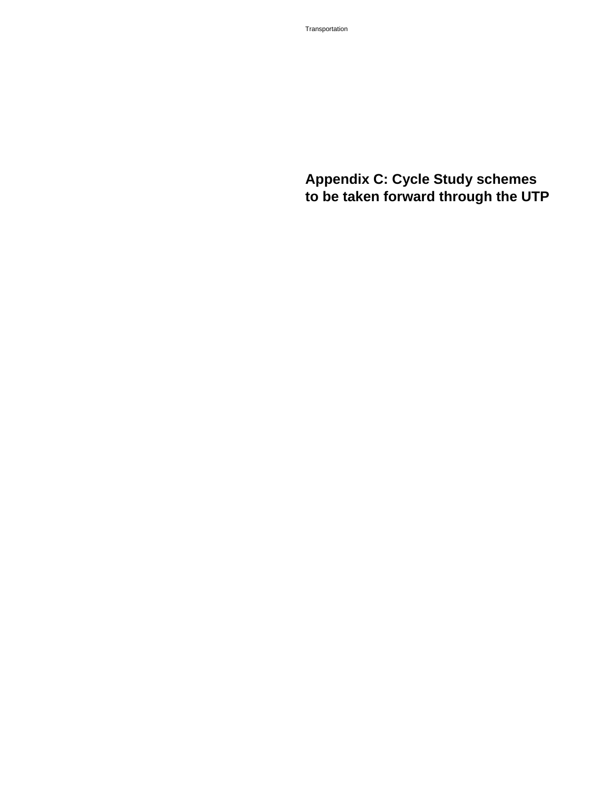## **Appendix C: Cycle Study schemes to be taken forward through the UTP**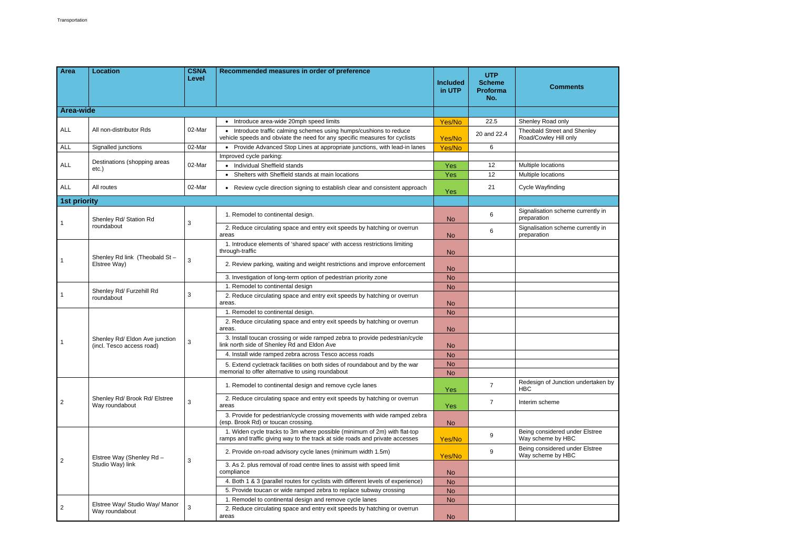|                  |                                                             | Level  |                                                                                                                                                          | <b>Included</b><br>in UTP | <b>UTP</b><br><b>Scheme</b><br><b>Proforma</b><br>No. | <b>Comments</b>                                             |
|------------------|-------------------------------------------------------------|--------|----------------------------------------------------------------------------------------------------------------------------------------------------------|---------------------------|-------------------------------------------------------|-------------------------------------------------------------|
| <b>Area-wide</b> |                                                             |        |                                                                                                                                                          |                           |                                                       |                                                             |
|                  |                                                             |        | • Introduce area-wide 20mph speed limits                                                                                                                 | Yes/No                    | 22.5                                                  | Shenley Road only                                           |
| <b>ALL</b>       | All non-distributor Rds                                     | 02-Mar | • Introduce traffic calming schemes using humps/cushions to reduce<br>vehicle speeds and obviate the need for any specific measures for cyclists         | Yes/No                    | 20 and 22.4                                           | <b>Theobald Street and Shenley</b><br>Road/Cowley Hill only |
| <b>ALL</b>       | Signalled junctions                                         | 02-Mar | • Provide Advanced Stop Lines at appropriate junctions, with lead-in lanes                                                                               | Yes/No                    | 6                                                     |                                                             |
|                  | Destinations (shopping areas<br>etc.)                       | 02-Mar | Improved cycle parking:                                                                                                                                  |                           |                                                       |                                                             |
| <b>ALL</b>       |                                                             |        | • Individual Sheffield stands                                                                                                                            | Yes                       | 12                                                    | Multiple locations                                          |
|                  |                                                             |        | • Shelters with Sheffield stands at main locations                                                                                                       | Yes                       | 12                                                    | Multiple locations                                          |
| ALL              | All routes                                                  | 02-Mar | • Review cycle direction signing to establish clear and consistent approach                                                                              | Yes                       | 21                                                    | Cycle Wayfinding                                            |
| 1st priority     |                                                             |        |                                                                                                                                                          |                           |                                                       |                                                             |
|                  | Shenley Rd/ Station Rd<br>roundabout                        |        | 1. Remodel to continental design.                                                                                                                        | <b>No</b>                 | 6                                                     | Signalisation scheme currently in<br>preparation            |
|                  |                                                             | 3      | 2. Reduce circulating space and entry exit speeds by hatching or overrun<br>areas                                                                        | <b>No</b>                 | 6                                                     | Signalisation scheme currently in<br>preparation            |
|                  | Shenley Rd link (Theobald St-<br>Elstree Way)               | 3      | 1. Introduce elements of 'shared space' with access restrictions limiting<br>through-traffic                                                             | <b>No</b>                 |                                                       |                                                             |
|                  |                                                             |        | 2. Review parking, waiting and weight restrictions and improve enforcement                                                                               | <b>No</b>                 |                                                       |                                                             |
|                  |                                                             |        | 3. Investigation of long-term option of pedestrian priority zone                                                                                         | <b>No</b>                 |                                                       |                                                             |
|                  | Shenley Rd/ Furzehill Rd                                    | 3      | 1. Remodel to continental design                                                                                                                         | <b>No</b>                 |                                                       |                                                             |
|                  | roundabout                                                  |        | 2. Reduce circulating space and entry exit speeds by hatching or overrun<br>areas.                                                                       | <b>No</b>                 |                                                       |                                                             |
|                  |                                                             |        | 1. Remodel to continental design.                                                                                                                        | <b>No</b>                 |                                                       |                                                             |
|                  | Shenley Rd/ Eldon Ave junction<br>(incl. Tesco access road) | 3      | 2. Reduce circulating space and entry exit speeds by hatching or overrun<br>areas.                                                                       | <b>No</b>                 |                                                       |                                                             |
|                  |                                                             |        | 3. Install toucan crossing or wide ramped zebra to provide pedestrian/cycle<br>link north side of Shenley Rd and Eldon Ave                               | <b>No</b>                 |                                                       |                                                             |
|                  |                                                             |        | 4. Install wide ramped zebra across Tesco access roads                                                                                                   | <b>No</b>                 |                                                       |                                                             |
|                  |                                                             |        | 5. Extend cycletrack facilities on both sides of roundabout and by the war<br>memorial to offer alternative to using roundabout                          | <b>No</b><br><b>No</b>    |                                                       |                                                             |
|                  | Shenley Rd/ Brook Rd/ Elstree<br>Way roundabout             | 3      | 1. Remodel to continental design and remove cycle lanes                                                                                                  | Yes                       | $\overline{7}$                                        | Redesign of Junction undertaken by<br><b>HBC</b>            |
| $\overline{2}$   |                                                             |        | 2. Reduce circulating space and entry exit speeds by hatching or overrun<br>areas                                                                        | Yes                       | $\overline{7}$                                        | Interim scheme                                              |
|                  |                                                             |        | 3. Provide for pedestrian/cycle crossing movements with wide ramped zebra<br>(esp. Brook Rd) or toucan crossing.                                         | <b>No</b>                 |                                                       |                                                             |
| $\overline{2}$   | Elstree Way (Shenley Rd -<br>Studio Way) link               | 3      | 1. Widen cycle tracks to 3m where possible (minimum of 2m) with flat-top<br>ramps and traffic giving way to the track at side roads and private accesses | Yes/No                    | 9                                                     | Being considered under Elstree<br>Way scheme by HBC         |
|                  |                                                             |        | 2. Provide on-road advisory cycle lanes (minimum width 1.5m)                                                                                             | Yes/No                    | 9                                                     | Being considered under Elstree<br>Way scheme by HBC         |
|                  |                                                             |        | 3. As 2. plus removal of road centre lines to assist with speed limit<br>compliance                                                                      | <b>No</b>                 |                                                       |                                                             |
|                  |                                                             |        | 4. Both 1 & 3 (parallel routes for cyclists with different levels of experience)                                                                         | <b>No</b>                 |                                                       |                                                             |
|                  |                                                             |        | 5. Provide toucan or wide ramped zebra to replace subway crossing                                                                                        | <b>No</b>                 |                                                       |                                                             |
|                  | Elstree Way/ Studio Way/ Manor<br>Way roundabout            | 3      | 1. Remodel to continental design and remove cycle lanes                                                                                                  | <b>No</b>                 |                                                       |                                                             |
| $\overline{2}$   |                                                             |        | 2. Reduce circulating space and entry exit speeds by hatching or overrun<br>areas                                                                        | <b>No</b>                 |                                                       |                                                             |
|                  |                                                             |        |                                                                                                                                                          |                           |                                                       |                                                             |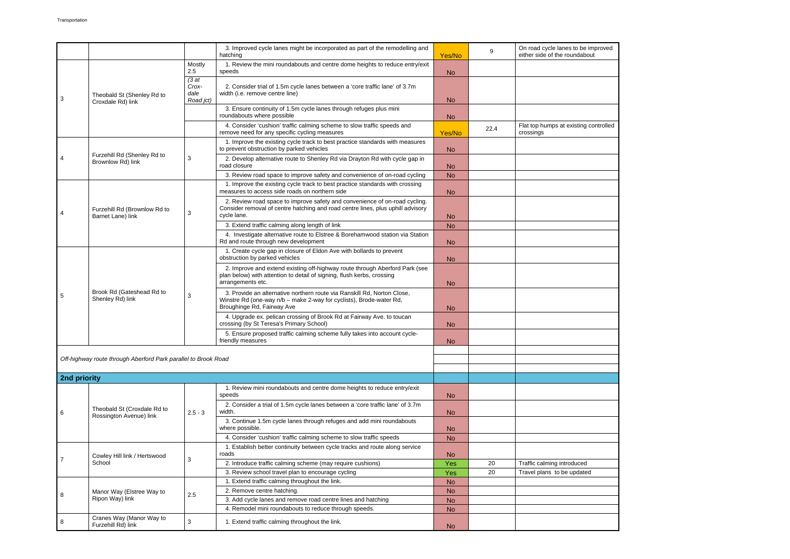|              |                                                                |                                     | 3. Improved cycle lanes might be incorporated as part of the remodelling and<br>hatching                                                                                     | Yes/No         | 9    | On road cycle lanes to be improved<br>either side of the roundabout |
|--------------|----------------------------------------------------------------|-------------------------------------|------------------------------------------------------------------------------------------------------------------------------------------------------------------------------|----------------|------|---------------------------------------------------------------------|
| 3            | Theobald St (Shenley Rd to<br>Croxdale Rd) link                | Mostly<br>2.5                       | 1. Review the mini roundabouts and centre dome heights to reduce entry/exit<br>speeds                                                                                        | N <sub>o</sub> |      |                                                                     |
|              |                                                                | (3at)<br>Crox-<br>dale<br>Road jct) | 2. Consider trial of 1.5m cycle lanes between a 'core traffic lane' of 3.7m<br>width (i.e. remove centre line)                                                               | <b>No</b>      |      |                                                                     |
|              |                                                                |                                     | 3. Ensure continuity of 1.5m cycle lanes through refuges plus mini<br>roundabouts where possible                                                                             | <b>No</b>      |      |                                                                     |
|              |                                                                |                                     | 4. Consider 'cushion' traffic calming scheme to slow traffic speeds and<br>remove need for any specific cycling measures                                                     | Yes/No         | 22.4 | Flat top humps at existing controlled<br>crossings                  |
| 4            | Furzehill Rd (Shenley Rd to<br>Brownlow Rd) link               | 3                                   | 1. Improve the existing cycle track to best practice standards with measures<br>to prevent obstruction by parked vehicles                                                    | <b>No</b>      |      |                                                                     |
|              |                                                                |                                     | 2. Develop alternative route to Shenley Rd via Drayton Rd with cycle gap in<br>road closure                                                                                  | <b>No</b>      |      |                                                                     |
|              |                                                                |                                     | 3. Review road space to improve safety and convenience of on-road cycling                                                                                                    | <b>No</b>      |      |                                                                     |
|              | Furzehill Rd (Brownlow Rd to<br>Barnet Lane) link              | 3                                   | 1. Improve the existing cycle track to best practice standards with crossing<br>measures to access side roads on northern side                                               | <b>No</b>      |      |                                                                     |
| 4            |                                                                |                                     | 2. Review road space to improve safety and convenience of on-road cycling.<br>Consider removal of centre hatching and road centre lines, plus uphill advisory<br>cycle lane. | <b>No</b>      |      |                                                                     |
|              |                                                                |                                     | 3. Extend traffic calming along length of link                                                                                                                               | <b>No</b>      |      |                                                                     |
|              |                                                                |                                     | 4. Investigate alternative route to Elstree & Borehamwood station via Station<br>Rd and route through new development                                                        | <b>No</b>      |      |                                                                     |
|              |                                                                | 3                                   | 1. Create cycle gap in closure of Eldon Ave with bollards to prevent<br>obstruction by parked vehicles                                                                       | <b>No</b>      |      |                                                                     |
|              | Brook Rd (Gateshead Rd to<br>Shenley Rd) link                  |                                     | 2. Improve and extend existing off-highway route through Aberford Park (see<br>plan below) with attention to detail of signing, flush kerbs, crossing<br>arrangements etc.   | <b>No</b>      |      |                                                                     |
| 5            |                                                                |                                     | 3. Provide an alternative northern route via Ranskill Rd, Norton Close,<br>Winstre Rd (one-way n/b - make 2-way for cyclists), Brode-water Rd,<br>Broughinge Rd, Fairway Ave | <b>No</b>      |      |                                                                     |
|              |                                                                |                                     | 4. Upgrade ex. pelican crossing of Brook Rd at Fairway Ave. to toucan<br>crossing (by St Teresa's Primary School)                                                            | <b>No</b>      |      |                                                                     |
|              |                                                                |                                     | 5. Ensure proposed traffic calming scheme fully takes into account cycle-<br>friendly measures                                                                               | <b>No</b>      |      |                                                                     |
|              |                                                                |                                     |                                                                                                                                                                              |                |      |                                                                     |
|              | Off-highway route through Aberford Park parallel to Brook Road |                                     |                                                                                                                                                                              |                |      |                                                                     |
|              |                                                                |                                     |                                                                                                                                                                              |                |      |                                                                     |
| 2nd priority |                                                                |                                     |                                                                                                                                                                              |                |      |                                                                     |
|              | Theobald St (Croxdale Rd to<br>Rossington Avenue) link         | $2.5 - 3$                           | 1. Review mini roundabouts and centre dome heights to reduce entry/exit<br>speeds                                                                                            | <b>No</b>      |      |                                                                     |
| 6            |                                                                |                                     | 2. Consider a trial of 1.5m cycle lanes between a 'core traffic lane' of 3.7m<br>width.                                                                                      | <b>No</b>      |      |                                                                     |
|              |                                                                |                                     | 3. Continue 1.5m cycle lanes through refuges and add mini roundabouts<br>where possible.                                                                                     | <b>No</b>      |      |                                                                     |
|              |                                                                |                                     | 4. Consider 'cushion' traffic calming scheme to slow traffic speeds                                                                                                          | <b>No</b>      |      |                                                                     |
|              | Cowley Hill link / Hertswood<br>School                         | 3                                   | 1. Establish better continuity between cycle tracks and route along service<br>roads                                                                                         | <b>No</b>      |      |                                                                     |
|              |                                                                |                                     | 2. Introduce traffic calming scheme (may require cushions)                                                                                                                   | Yes            | 20   | Traffic calming introduced                                          |
|              |                                                                |                                     | 3. Review school travel plan to encourage cycling                                                                                                                            | Yes            | 20   | Travel plans to be updated                                          |
| 8            | Manor Way (Elstree Way to<br>Ripon Way) link                   | 2.5                                 | 1. Extend traffic calming throughout the link.                                                                                                                               | <b>No</b>      |      |                                                                     |
|              |                                                                |                                     | 2. Remove centre hatching.                                                                                                                                                   | <b>No</b>      |      |                                                                     |
|              |                                                                |                                     | 3. Add cycle lanes and remove road centre lines and hatching                                                                                                                 | <b>No</b>      |      |                                                                     |
|              |                                                                |                                     | 4. Remodel mini roundabouts to reduce through speeds.                                                                                                                        | <b>No</b>      |      |                                                                     |
|              | Cranes Way (Manor Way to<br>Furzehill Rd) link                 | 3                                   | 1. Extend traffic calming throughout the link.                                                                                                                               | <b>No</b>      |      |                                                                     |